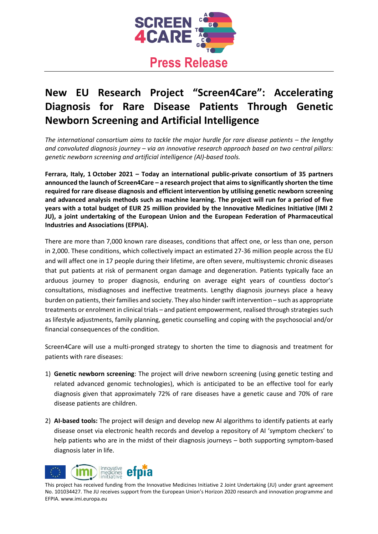

# **New EU Research Project "Screen4Care": Accelerating Diagnosis for Rare Disease Patients Through Genetic Newborn Screening and Artificial Intelligence**

*The international consortium aims to tackle the major hurdle for rare disease patients – the lengthy and convoluted diagnosis journey – via an innovative research approach based on two central pillars: genetic newborn screening and artificial intelligence (AI)-based tools.*

**Ferrara, Italy, 1 October 2021 – Today an international public-private consortium of 35 partners announced the launch of Screen4Care – a research project that aims to significantly shorten the time required for rare disease diagnosis and efficient intervention by utilising genetic newborn screening and advanced analysis methods such as machine learning. The project will run for a period of five years with a total budget of EUR 25 million provided by the Innovative Medicines Initiative (IMI 2 JU), a joint undertaking of the European Union and the European Federation of Pharmaceutical Industries and Associations (EFPIA).** 

There are more than 7,000 known rare diseases, conditions that affect one, or less than one, person in 2,000. These conditions, which collectively impact an estimated 27-36 million people across the EU and will affect one in 17 people during their lifetime, are often severe, multisystemic chronic diseases that put patients at risk of permanent organ damage and degeneration. Patients typically face an arduous journey to proper diagnosis, enduring on average eight years of countless doctor's consultations, misdiagnoses and ineffective treatments. Lengthy diagnosis journeys place a heavy burden on patients, their families and society. They also hinder swift intervention – such as appropriate treatments or enrolment in clinical trials – and patient empowerment, realised through strategies such as lifestyle adjustments, family planning, genetic counselling and coping with the psychosocial and/or financial consequences of the condition.

Screen4Care will use a multi-pronged strategy to shorten the time to diagnosis and treatment for patients with rare diseases:

- 1) **Genetic newborn screening**: The project will drive newborn screening (using genetic testing and related advanced genomic technologies), which is anticipated to be an effective tool for early diagnosis given that approximately 72% of rare diseases have a genetic cause and 70% of rare disease patients are children.
- 2) **AI-based tools:** The project will design and develop new AI algorithms to identify patients at early disease onset via electronic health records and develop a repository of AI 'symptom checkers' to help patients who are in the midst of their diagnosis journeys – both supporting symptom-based diagnosis later in life.

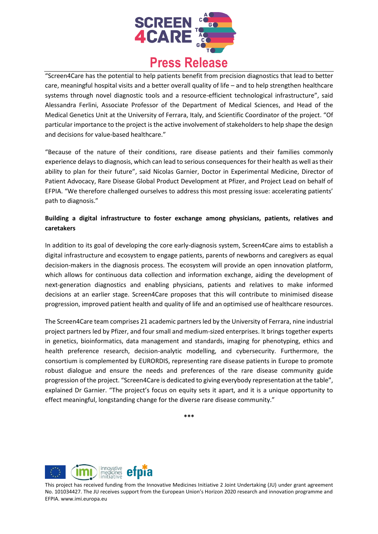

"Screen4Care has the potential to help patients benefit from precision diagnostics that lead to better care, meaningful hospital visits and a better overall quality of life – and to help strengthen healthcare systems through novel diagnostic tools and a resource-efficient technological infrastructure", said Alessandra Ferlini, Associate Professor of the Department of Medical Sciences, and Head of the Medical Genetics Unit at the University of Ferrara, Italy, and Scientific Coordinator of the project. "Of particular importance to the project is the active involvement of stakeholders to help shape the design and decisions for value-based healthcare."

"Because of the nature of their conditions, rare disease patients and their families commonly experience delays to diagnosis, which can lead to serious consequences for their health as well as their ability to plan for their future", said Nicolas Garnier, Doctor in Experimental Medicine, Director of Patient Advocacy, Rare Disease Global Product Development at Pfizer, and Project Lead on behalf of EFPIA. "We therefore challenged ourselves to address this most pressing issue: accelerating patients' path to diagnosis."

# **Building a digital infrastructure to foster exchange among physicians, patients, relatives and caretakers**

In addition to its goal of developing the core early-diagnosis system, Screen4Care aims to establish a digital infrastructure and ecosystem to engage patients, parents of newborns and caregivers as equal decision-makers in the diagnosis process. The ecosystem will provide an open innovation platform, which allows for continuous data collection and information exchange, aiding the development of next-generation diagnostics and enabling physicians, patients and relatives to make informed decisions at an earlier stage. Screen4Care proposes that this will contribute to minimised disease progression, improved patient health and quality of life and an optimised use of healthcare resources.

The Screen4Care team comprises 21 academic partners led by the University of Ferrara, nine industrial project partners led by Pfizer, and four small and medium-sized enterprises. It brings together experts in genetics, bioinformatics, data management and standards, imaging for phenotyping, ethics and health preference research, decision-analytic modelling, and cybersecurity. Furthermore, the consortium is complemented by EURORDIS, representing rare disease patients in Europe to promote robust dialogue and ensure the needs and preferences of the rare disease community guide progression of the project. "Screen4Care is dedicated to giving everybody representation at the table", explained Dr Garnier. "The project's focus on equity sets it apart, and it is a unique opportunity to effect meaningful, longstanding change for the diverse rare disease community."

**\*\*\***

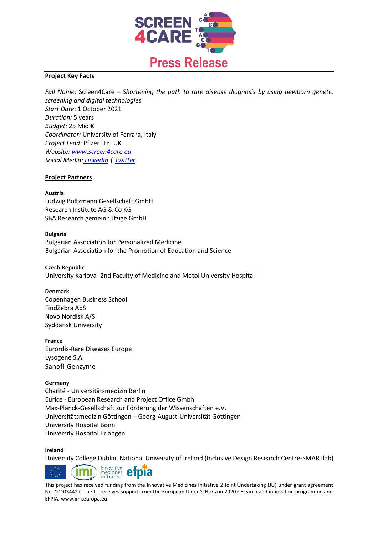

#### **Project Key Facts**

*Full Name:* Screen4Care – *Shortening the path to rare disease diagnosis by using newborn genetic screening and digital technologies Start Date*: 1 October 2021 *Duration:* 5 years *Budget:* 25 Mio € *Coordinator:* University of Ferrara, Italy *Project Lead:* Pfizer Ltd, UK *Website: [www.screen4care.eu](http://www.screen4care.eu/) Social Media: [LinkedIn](https://www.linkedin.com/company/screen4care) | [Twitter](https://twitter.com/Screen4Care)*

## **Project Partners**

#### **Austria**

Ludwig Boltzmann Gesellschaft GmbH Research Institute AG & Co KG SBA Research gemeinnützige GmbH

#### **Bulgaria**

Bulgarian Association for Personalized Medicine Bulgarian Association for the Promotion of Education and Science

## **Czech Republic** University Karlova- 2nd Faculty of Medicine and Motol University Hospital

#### **Denmark**

Copenhagen Business School FindZebra ApS Novo Nordisk A/S Syddansk University

#### **France**

Eurordis-Rare Diseases Europe Lysogene S.A. Sanofi-Genzyme

#### **Germany**

Charité - Universitätsmedizin Berlin Eurice - European Research and Project Office Gmbh Max-Planck-Gesellschaft zur Förderung der Wissenschaften e.V. Universitätsmedizin Göttingen – Georg-August-Universität Göttingen University Hospital Bonn University Hospital Erlangen

#### **Ireland**

University College Dublin, National University of Ireland (Inclusive Design Research Centre-SMARTlab)